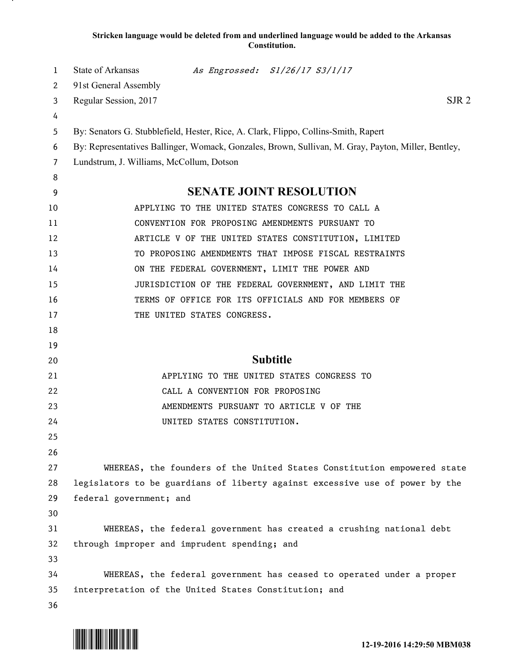## **Stricken language would be deleted from and underlined language would be added to the Arkansas Constitution.**

| 1  | State of Arkansas                                                                                   |                                 | As Engrossed: S1/26/17 S3/1/17                                          |  |
|----|-----------------------------------------------------------------------------------------------------|---------------------------------|-------------------------------------------------------------------------|--|
| 2  | 91st General Assembly                                                                               |                                 |                                                                         |  |
| 3  | SJR <sub>2</sub><br>Regular Session, 2017                                                           |                                 |                                                                         |  |
| 4  |                                                                                                     |                                 |                                                                         |  |
| 5  | By: Senators G. Stubblefield, Hester, Rice, A. Clark, Flippo, Collins-Smith, Rapert                 |                                 |                                                                         |  |
| 6  | By: Representatives Ballinger, Womack, Gonzales, Brown, Sullivan, M. Gray, Payton, Miller, Bentley, |                                 |                                                                         |  |
| 7  | Lundstrum, J. Williams, McCollum, Dotson                                                            |                                 |                                                                         |  |
| 8  |                                                                                                     |                                 |                                                                         |  |
| 9  | <b>SENATE JOINT RESOLUTION</b>                                                                      |                                 |                                                                         |  |
| 10 |                                                                                                     |                                 | APPLYING TO THE UNITED STATES CONGRESS TO CALL A                        |  |
| 11 |                                                                                                     |                                 | CONVENTION FOR PROPOSING AMENDMENTS PURSUANT TO                         |  |
| 12 |                                                                                                     |                                 | ARTICLE V OF THE UNITED STATES CONSTITUTION, LIMITED                    |  |
| 13 |                                                                                                     |                                 | TO PROPOSING AMENDMENTS THAT IMPOSE FISCAL RESTRAINTS                   |  |
| 14 |                                                                                                     |                                 | ON THE FEDERAL GOVERNMENT, LIMIT THE POWER AND                          |  |
| 15 |                                                                                                     |                                 | JURISDICTION OF THE FEDERAL GOVERNMENT, AND LIMIT THE                   |  |
| 16 |                                                                                                     |                                 | TERMS OF OFFICE FOR ITS OFFICIALS AND FOR MEMBERS OF                    |  |
| 17 |                                                                                                     | THE UNITED STATES CONGRESS.     |                                                                         |  |
| 18 |                                                                                                     |                                 |                                                                         |  |
| 19 |                                                                                                     |                                 |                                                                         |  |
| 20 | <b>Subtitle</b>                                                                                     |                                 |                                                                         |  |
| 21 |                                                                                                     |                                 | APPLYING TO THE UNITED STATES CONGRESS TO                               |  |
| 22 |                                                                                                     | CALL A CONVENTION FOR PROPOSING |                                                                         |  |
| 23 |                                                                                                     |                                 | AMENDMENTS PURSUANT TO ARTICLE V OF THE                                 |  |
| 24 |                                                                                                     | UNITED STATES CONSTITUTION.     |                                                                         |  |
| 25 |                                                                                                     |                                 |                                                                         |  |
| 26 |                                                                                                     |                                 |                                                                         |  |
| 27 |                                                                                                     |                                 | WHEREAS, the founders of the United States Constitution empowered state |  |
| 28 | legislators to be guardians of liberty against excessive use of power by the                        |                                 |                                                                         |  |
| 29 | federal government; and                                                                             |                                 |                                                                         |  |
| 30 |                                                                                                     |                                 |                                                                         |  |
| 31 |                                                                                                     |                                 | WHEREAS, the federal government has created a crushing national debt    |  |
| 32 | through improper and imprudent spending; and                                                        |                                 |                                                                         |  |
| 33 |                                                                                                     |                                 |                                                                         |  |
| 34 |                                                                                                     |                                 | WHEREAS, the federal government has ceased to operated under a proper   |  |
| 35 | interpretation of the United States Constitution; and                                               |                                 |                                                                         |  |
| 36 |                                                                                                     |                                 |                                                                         |  |

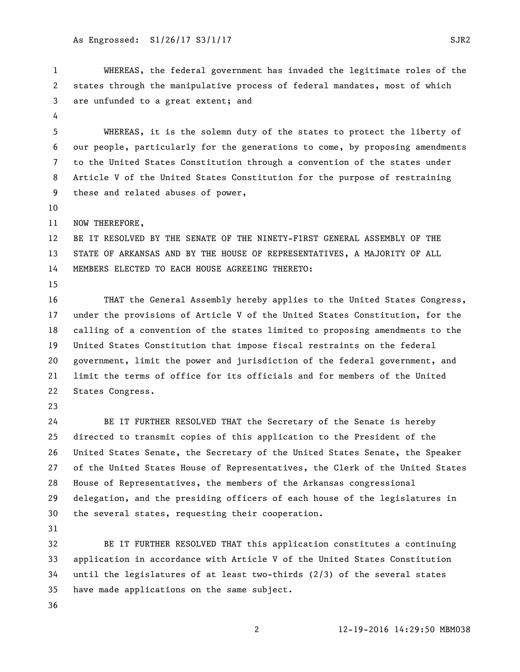WHEREAS, the federal government has invaded the legitimate roles of the states through the manipulative process of federal mandates, most of which are unfunded to a great extent; and WHEREAS, it is the solemn duty of the states to protect the liberty of our people, particularly for the generations to come, by proposing amendments to the United States Constitution through a convention of the states under Article V of the United States Constitution for the purpose of restraining these and related abuses of power, 11 NOW THEREFORE, BE IT RESOLVED BY THE SENATE OF THE NINETY-FIRST GENERAL ASSEMBLY OF THE STATE OF ARKANSAS AND BY THE HOUSE OF REPRESENTATIVES, A MAJORITY OF ALL MEMBERS ELECTED TO EACH HOUSE AGREEING THERETO: THAT the General Assembly hereby applies to the United States Congress, under the provisions of Article V of the United States Constitution, for the calling of a convention of the states limited to proposing amendments to the United States Constitution that impose fiscal restraints on the federal government, limit the power and jurisdiction of the federal government, and limit the terms of office for its officials and for members of the United States Congress. BE IT FURTHER RESOLVED THAT the Secretary of the Senate is hereby directed to transmit copies of this application to the President of the United States Senate, the Secretary of the United States Senate, the Speaker of the United States House of Representatives, the Clerk of the United States House of Representatives, the members of the Arkansas congressional delegation, and the presiding officers of each house of the legislatures in the several states, requesting their cooperation. BE IT FURTHER RESOLVED THAT this application constitutes a continuing application in accordance with Article V of the United States Constitution

- until the legislatures of at least two-thirds (2/3) of the several states have made applications on the same subject.
- 

12-19-2016 14:29:50 MBM038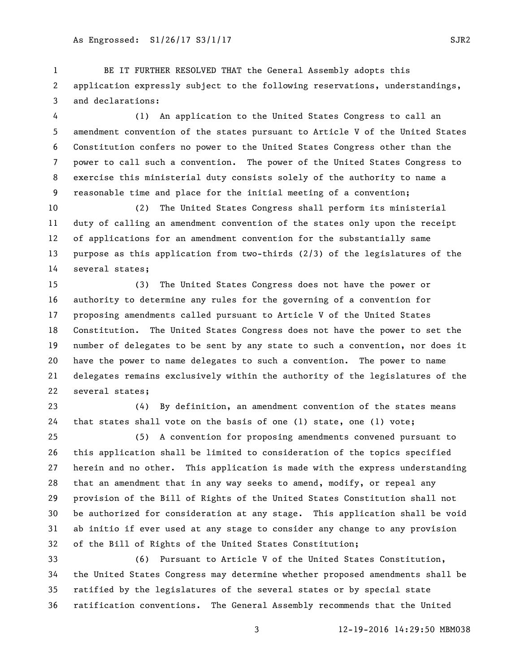BE IT FURTHER RESOLVED THAT the General Assembly adopts this application expressly subject to the following reservations, understandings, and declarations:

 (1) An application to the United States Congress to call an amendment convention of the states pursuant to Article V of the United States Constitution confers no power to the United States Congress other than the power to call such a convention. The power of the United States Congress to exercise this ministerial duty consists solely of the authority to name a reasonable time and place for the initial meeting of a convention;

 (2) The United States Congress shall perform its ministerial duty of calling an amendment convention of the states only upon the receipt of applications for an amendment convention for the substantially same purpose as this application from two-thirds (2/3) of the legislatures of the several states;

 (3) The United States Congress does not have the power or authority to determine any rules for the governing of a convention for proposing amendments called pursuant to Article V of the United States Constitution. The United States Congress does not have the power to set the number of delegates to be sent by any state to such a convention, nor does it have the power to name delegates to such a convention. The power to name delegates remains exclusively within the authority of the legislatures of the several states;

 (4) By definition, an amendment convention of the states means that states shall vote on the basis of one (1) state, one (1) vote;

 (5) A convention for proposing amendments convened pursuant to this application shall be limited to consideration of the topics specified herein and no other. This application is made with the express understanding that an amendment that in any way seeks to amend, modify, or repeal any provision of the Bill of Rights of the United States Constitution shall not be authorized for consideration at any stage. This application shall be void ab initio if ever used at any stage to consider any change to any provision of the Bill of Rights of the United States Constitution;

 (6) Pursuant to Article V of the United States Constitution, the United States Congress may determine whether proposed amendments shall be ratified by the legislatures of the several states or by special state ratification conventions. The General Assembly recommends that the United